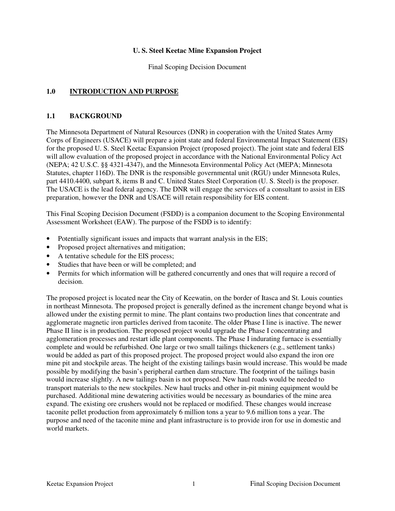#### **U. S. Steel Keetac Mine Expansion Project**

Final Scoping Decision Document

### **1.0 INTRODUCTION AND PURPOSE**

#### **1.1 BACKGROUND**

The Minnesota Department of Natural Resources (DNR) in cooperation with the United States Army Corps of Engineers (USACE) will prepare a joint state and federal Environmental Impact Statement (EIS) for the proposed U. S. Steel Keetac Expansion Project (proposed project). The joint state and federal EIS will allow evaluation of the proposed project in accordance with the National Environmental Policy Act (NEPA; 42 U.S.C. §§ 4321-4347), and the Minnesota Environmental Policy Act (MEPA; Minnesota Statutes, chapter 116D). The DNR is the responsible governmental unit (RGU) under Minnesota Rules, part 4410.4400, subpart 8, items B and C. United States Steel Corporation (U. S. Steel) is the proposer. The USACE is the lead federal agency. The DNR will engage the services of a consultant to assist in EIS preparation, however the DNR and USACE will retain responsibility for EIS content.

This Final Scoping Decision Document (FSDD) is a companion document to the Scoping Environmental Assessment Worksheet (EAW). The purpose of the FSDD is to identify:

- Potentially significant issues and impacts that warrant analysis in the EIS;
- Proposed project alternatives and mitigation;
- A tentative schedule for the EIS process;
- Studies that have been or will be completed; and
- Permits for which information will be gathered concurrently and ones that will require a record of decision.

The proposed project is located near the City of Keewatin, on the border of Itasca and St. Louis counties in northeast Minnesota. The proposed project is generally defined as the increment change beyond what is allowed under the existing permit to mine. The plant contains two production lines that concentrate and agglomerate magnetic iron particles derived from taconite. The older Phase I line is inactive. The newer Phase II line is in production. The proposed project would upgrade the Phase I concentrating and agglomeration processes and restart idle plant components. The Phase I indurating furnace is essentially complete and would be refurbished. One large or two small tailings thickeners (e.g., settlement tanks) would be added as part of this proposed project. The proposed project would also expand the iron ore mine pit and stockpile areas. The height of the existing tailings basin would increase. This would be made possible by modifying the basin's peripheral earthen dam structure. The footprint of the tailings basin would increase slightly. A new tailings basin is not proposed. New haul roads would be needed to transport materials to the new stockpiles. New haul trucks and other in-pit mining equipment would be purchased. Additional mine dewatering activities would be necessary as boundaries of the mine area expand. The existing ore crushers would not be replaced or modified. These changes would increase taconite pellet production from approximately 6 million tons a year to 9.6 million tons a year. The purpose and need of the taconite mine and plant infrastructure is to provide iron for use in domestic and world markets.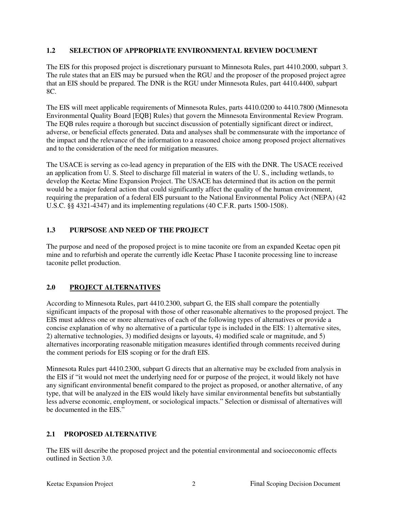### **1.2 SELECTION OF APPROPRIATE ENVIRONMENTAL REVIEW DOCUMENT**

The EIS for this proposed project is discretionary pursuant to Minnesota Rules, part 4410.2000, subpart 3. The rule states that an EIS may be pursued when the RGU and the proposer of the proposed project agree that an EIS should be prepared. The DNR is the RGU under Minnesota Rules, part 4410.4400, subpart 8C.

The EIS will meet applicable requirements of Minnesota Rules, parts 4410.0200 to 4410.7800 (Minnesota Environmental Quality Board [EQB] Rules) that govern the Minnesota Environmental Review Program. The EQB rules require a thorough but succinct discussion of potentially significant direct or indirect, adverse, or beneficial effects generated. Data and analyses shall be commensurate with the importance of the impact and the relevance of the information to a reasoned choice among proposed project alternatives and to the consideration of the need for mitigation measures.

The USACE is serving as co-lead agency in preparation of the EIS with the DNR. The USACE received an application from U. S. Steel to discharge fill material in waters of the U. S., including wetlands, to develop the Keetac Mine Expansion Project. The USACE has determined that its action on the permit would be a major federal action that could significantly affect the quality of the human environment, requiring the preparation of a federal EIS pursuant to the National Environmental Policy Act (NEPA) (42 U.S.C. §§ 4321-4347) and its implementing regulations (40 C.F.R. parts 1500-1508).

# **1.3 PURPSOSE AND NEED OF THE PROJECT**

The purpose and need of the proposed project is to mine taconite ore from an expanded Keetac open pit mine and to refurbish and operate the currently idle Keetac Phase I taconite processing line to increase taconite pellet production.

# **2.0 PROJECT ALTERNATIVES**

According to Minnesota Rules, part 4410.2300, subpart G, the EIS shall compare the potentially significant impacts of the proposal with those of other reasonable alternatives to the proposed project. The EIS must address one or more alternatives of each of the following types of alternatives or provide a concise explanation of why no alternative of a particular type is included in the EIS: 1) alternative sites, 2) alternative technologies, 3) modified designs or layouts, 4) modified scale or magnitude, and 5) alternatives incorporating reasonable mitigation measures identified through comments received during the comment periods for EIS scoping or for the draft EIS.

Minnesota Rules part 4410.2300, subpart G directs that an alternative may be excluded from analysis in the EIS if "it would not meet the underlying need for or purpose of the project, it would likely not have any significant environmental benefit compared to the project as proposed, or another alternative, of any type, that will be analyzed in the EIS would likely have similar environmental benefits but substantially less adverse economic, employment, or sociological impacts." Selection or dismissal of alternatives will be documented in the EIS"

## **2.1 PROPOSED ALTERNATIVE**

The EIS will describe the proposed project and the potential environmental and socioeconomic effects outlined in Section 3.0.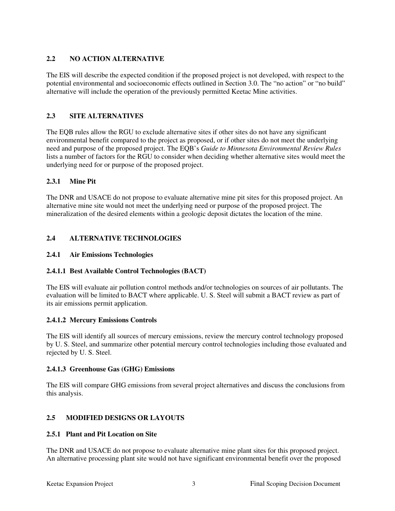# **2.2 NO ACTION ALTERNATIVE**

The EIS will describe the expected condition if the proposed project is not developed, with respect to the potential environmental and socioeconomic effects outlined in Section 3.0. The "no action" or "no build" alternative will include the operation of the previously permitted Keetac Mine activities.

## **2.3 SITE ALTERNATIVES**

The EQB rules allow the RGU to exclude alternative sites if other sites do not have any significant environmental benefit compared to the project as proposed, or if other sites do not meet the underlying need and purpose of the proposed project. The EQB's *Guide to Minnesota Environmental Review Rules* lists a number of factors for the RGU to consider when deciding whether alternative sites would meet the underlying need for or purpose of the proposed project.

## **2.3.1 Mine Pit**

The DNR and USACE do not propose to evaluate alternative mine pit sites for this proposed project. An alternative mine site would not meet the underlying need or purpose of the proposed project. The mineralization of the desired elements within a geologic deposit dictates the location of the mine.

# **2.4 ALTERNATIVE TECHNOLOGIES**

### **2.4.1 Air Emissions Technologies**

## **2.4.1.1 Best Available Control Technologies (BACT)**

The EIS will evaluate air pollution control methods and/or technologies on sources of air pollutants. The evaluation will be limited to BACT where applicable. U. S. Steel will submit a BACT review as part of its air emissions permit application.

## **2.4.1.2 Mercury Emissions Controls**

The EIS will identify all sources of mercury emissions, review the mercury control technology proposed by U. S. Steel, and summarize other potential mercury control technologies including those evaluated and rejected by U. S. Steel.

#### **2.4.1.3 Greenhouse Gas (GHG) Emissions**

The EIS will compare GHG emissions from several project alternatives and discuss the conclusions from this analysis.

## **2.5 MODIFIED DESIGNS OR LAYOUTS**

#### **2.5.1 Plant and Pit Location on Site**

The DNR and USACE do not propose to evaluate alternative mine plant sites for this proposed project. An alternative processing plant site would not have significant environmental benefit over the proposed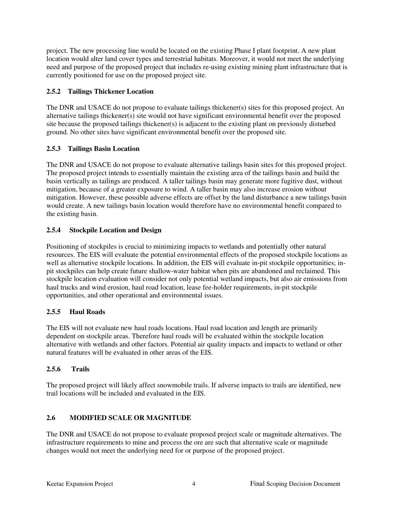project. The new processing line would be located on the existing Phase I plant footprint. A new plant location would alter land cover types and terrestrial habitats. Moreover, it would not meet the underlying need and purpose of the proposed project that includes re-using existing mining plant infrastructure that is currently positioned for use on the proposed project site.

### **2.5.2 Tailings Thickener Location**

The DNR and USACE do not propose to evaluate tailings thickener(s) sites for this proposed project. An alternative tailings thickener(s) site would not have significant environmental benefit over the proposed site because the proposed tailings thickener(s) is adjacent to the existing plant on previously disturbed ground. No other sites have significant environmental benefit over the proposed site.

### **2.5.3 Tailings Basin Location**

The DNR and USACE do not propose to evaluate alternative tailings basin sites for this proposed project. The proposed project intends to essentially maintain the existing area of the tailings basin and build the basin vertically as tailings are produced. A taller tailings basin may generate more fugitive dust, without mitigation, because of a greater exposure to wind. A taller basin may also increase erosion without mitigation. However, these possible adverse effects are offset by the land disturbance a new tailings basin would create. A new tailings basin location would therefore have no environmental benefit compared to the existing basin.

## **2.5.4 Stockpile Location and Design**

Positioning of stockpiles is crucial to minimizing impacts to wetlands and potentially other natural resources. The EIS will evaluate the potential environmental effects of the proposed stockpile locations as well as alternative stockpile locations. In addition, the EIS will evaluate in-pit stockpile opportunities; inpit stockpiles can help create future shallow-water habitat when pits are abandoned and reclaimed. This stockpile location evaluation will consider not only potential wetland impacts, but also air emissions from haul trucks and wind erosion, haul road location, lease fee-holder requirements, in-pit stockpile opportunities, and other operational and environmental issues.

#### **2.5.5 Haul Roads**

The EIS will not evaluate new haul roads locations. Haul road location and length are primarily dependent on stockpile areas. Therefore haul roads will be evaluated within the stockpile location alternative with wetlands and other factors. Potential air quality impacts and impacts to wetland or other natural features will be evaluated in other areas of the EIS.

#### **2.5.6 Trails**

The proposed project will likely affect snowmobile trails. If adverse impacts to trails are identified, new trail locations will be included and evaluated in the EIS.

## **2.6 MODIFIED SCALE OR MAGNITUDE**

The DNR and USACE do not propose to evaluate proposed project scale or magnitude alternatives. The infrastructure requirements to mine and process the ore are such that alternative scale or magnitude changes would not meet the underlying need for or purpose of the proposed project.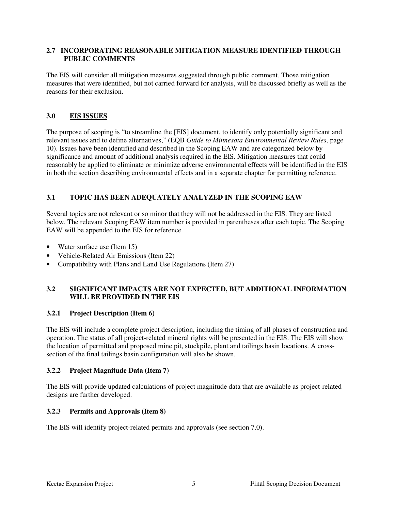#### **2.7 INCORPORATING REASONABLE MITIGATION MEASURE IDENTIFIED THROUGH PUBLIC COMMENTS**

The EIS will consider all mitigation measures suggested through public comment. Those mitigation measures that were identified, but not carried forward for analysis, will be discussed briefly as well as the reasons for their exclusion.

# **3.0 EIS ISSUES**

The purpose of scoping is "to streamline the [EIS] document, to identify only potentially significant and relevant issues and to define alternatives," (EQB *Guide to Minnesota Environmental Review Rules*, page 10). Issues have been identified and described in the Scoping EAW and are categorized below by significance and amount of additional analysis required in the EIS. Mitigation measures that could reasonably be applied to eliminate or minimize adverse environmental effects will be identified in the EIS in both the section describing environmental effects and in a separate chapter for permitting reference.

# **3.1 TOPIC HAS BEEN ADEQUATELY ANALYZED IN THE SCOPING EAW**

Several topics are not relevant or so minor that they will not be addressed in the EIS. They are listed below. The relevant Scoping EAW item number is provided in parentheses after each topic. The Scoping EAW will be appended to the EIS for reference.

- Water surface use (Item 15)
- Vehicle-Related Air Emissions (Item 22)
- Compatibility with Plans and Land Use Regulations (Item 27)

### **3.2 SIGNIFICANT IMPACTS ARE NOT EXPECTED, BUT ADDITIONAL INFORMATION WILL BE PROVIDED IN THE EIS**

## **3.2.1 Project Description (Item 6)**

The EIS will include a complete project description, including the timing of all phases of construction and operation. The status of all project-related mineral rights will be presented in the EIS. The EIS will show the location of permitted and proposed mine pit, stockpile, plant and tailings basin locations. A crosssection of the final tailings basin configuration will also be shown.

## **3.2.2 Project Magnitude Data (Item 7)**

The EIS will provide updated calculations of project magnitude data that are available as project-related designs are further developed.

## **3.2.3 Permits and Approvals (Item 8)**

The EIS will identify project-related permits and approvals (see section 7.0).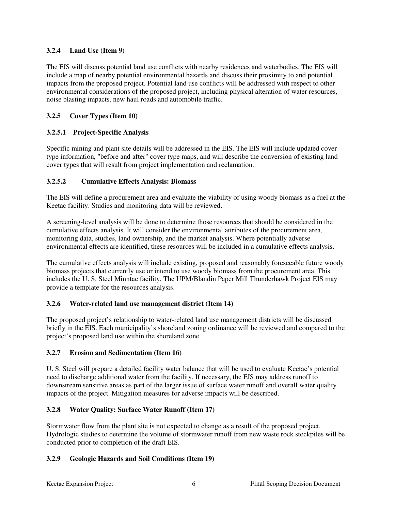### **3.2.4 Land Use (Item 9)**

The EIS will discuss potential land use conflicts with nearby residences and waterbodies. The EIS will include a map of nearby potential environmental hazards and discuss their proximity to and potential impacts from the proposed project. Potential land use conflicts will be addressed with respect to other environmental considerations of the proposed project, including physical alteration of water resources, noise blasting impacts, new haul roads and automobile traffic.

### **3.2.5 Cover Types (Item 10)**

## **3.2.5.1 Project-Specific Analysis**

Specific mining and plant site details will be addressed in the EIS. The EIS will include updated cover type information, "before and after" cover type maps, and will describe the conversion of existing land cover types that will result from project implementation and reclamation.

### **3.2.5.2 Cumulative Effects Analysis: Biomass**

The EIS will define a procurement area and evaluate the viability of using woody biomass as a fuel at the Keetac facility. Studies and monitoring data will be reviewed.

A screening-level analysis will be done to determine those resources that should be considered in the cumulative effects analysis. It will consider the environmental attributes of the procurement area, monitoring data, studies, land ownership, and the market analysis. Where potentially adverse environmental effects are identified, these resources will be included in a cumulative effects analysis.

The cumulative effects analysis will include existing, proposed and reasonably foreseeable future woody biomass projects that currently use or intend to use woody biomass from the procurement area. This includes the U. S. Steel Minntac facility. The UPM/Blandin Paper Mill Thunderhawk Project EIS may provide a template for the resources analysis.

## **3.2.6 Water-related land use management district (Item 14)**

The proposed project's relationship to water-related land use management districts will be discussed briefly in the EIS. Each municipality's shoreland zoning ordinance will be reviewed and compared to the project's proposed land use within the shoreland zone.

#### **3.2.7 Erosion and Sedimentation (Item 16)**

U. S. Steel will prepare a detailed facility water balance that will be used to evaluate Keetac's potential need to discharge additional water from the facility. If necessary, the EIS may address runoff to downstream sensitive areas as part of the larger issue of surface water runoff and overall water quality impacts of the project. Mitigation measures for adverse impacts will be described.

## **3.2.8 Water Quality: Surface Water Runoff (Item 17)**

Stormwater flow from the plant site is not expected to change as a result of the proposed project. Hydrologic studies to determine the volume of stormwater runoff from new waste rock stockpiles will be conducted prior to completion of the draft EIS.

## **3.2.9 Geologic Hazards and Soil Conditions (Item 19)**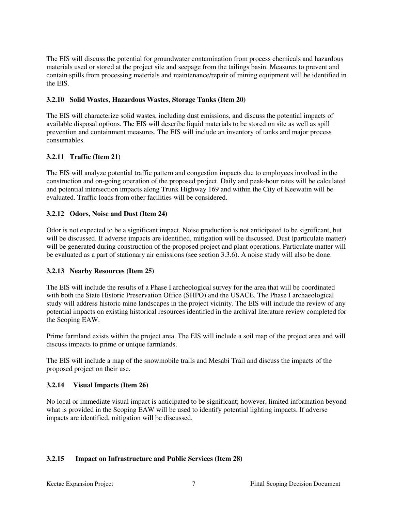The EIS will discuss the potential for groundwater contamination from process chemicals and hazardous materials used or stored at the project site and seepage from the tailings basin. Measures to prevent and contain spills from processing materials and maintenance/repair of mining equipment will be identified in the EIS.

### **3.2.10 Solid Wastes, Hazardous Wastes, Storage Tanks (Item 20)**

The EIS will characterize solid wastes, including dust emissions, and discuss the potential impacts of available disposal options. The EIS will describe liquid materials to be stored on site as well as spill prevention and containment measures. The EIS will include an inventory of tanks and major process consumables.

### **3.2.11 Traffic (Item 21)**

The EIS will analyze potential traffic pattern and congestion impacts due to employees involved in the construction and on-going operation of the proposed project. Daily and peak-hour rates will be calculated and potential intersection impacts along Trunk Highway 169 and within the City of Keewatin will be evaluated. Traffic loads from other facilities will be considered.

### **3.2.12 Odors, Noise and Dust (Item 24)**

Odor is not expected to be a significant impact. Noise production is not anticipated to be significant, but will be discussed. If adverse impacts are identified, mitigation will be discussed. Dust (particulate matter) will be generated during construction of the proposed project and plant operations. Particulate matter will be evaluated as a part of stationary air emissions (see section 3.3.6). A noise study will also be done.

## **3.2.13 Nearby Resources (Item 25)**

The EIS will include the results of a Phase I archeological survey for the area that will be coordinated with both the State Historic Preservation Office (SHPO) and the USACE. The Phase I archaeological study will address historic mine landscapes in the project vicinity. The EIS will include the review of any potential impacts on existing historical resources identified in the archival literature review completed for the Scoping EAW.

Prime farmland exists within the project area. The EIS will include a soil map of the project area and will discuss impacts to prime or unique farmlands.

The EIS will include a map of the snowmobile trails and Mesabi Trail and discuss the impacts of the proposed project on their use.

#### **3.2.14 Visual Impacts (Item 26)**

No local or immediate visual impact is anticipated to be significant; however, limited information beyond what is provided in the Scoping EAW will be used to identify potential lighting impacts. If adverse impacts are identified, mitigation will be discussed.

#### **3.2.15 Impact on Infrastructure and Public Services (Item 28)**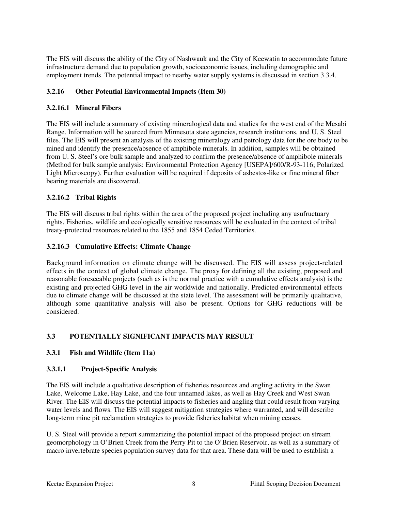The EIS will discuss the ability of the City of Nashwauk and the City of Keewatin to accommodate future infrastructure demand due to population growth, socioeconomic issues, including demographic and employment trends. The potential impact to nearby water supply systems is discussed in section 3.3.4.

### **3.2.16 Other Potential Environmental Impacts (Item 30)**

### **3.2.16.1 Mineral Fibers**

The EIS will include a summary of existing mineralogical data and studies for the west end of the Mesabi Range. Information will be sourced from Minnesota state agencies, research institutions, and U. S. Steel files. The EIS will present an analysis of the existing mineralogy and petrology data for the ore body to be mined and identify the presence/absence of amphibole minerals. In addition, samples will be obtained from U. S. Steel's ore bulk sample and analyzed to confirm the presence/absence of amphibole minerals (Method for bulk sample analysis: Environmental Protection Agency [USEPA]/600/R-93-116; Polarized Light Microscopy). Further evaluation will be required if deposits of asbestos-like or fine mineral fiber bearing materials are discovered.

## **3.2.16.2 Tribal Rights**

The EIS will discuss tribal rights within the area of the proposed project including any usufructuary rights. Fisheries, wildlife and ecologically sensitive resources will be evaluated in the context of tribal treaty-protected resources related to the 1855 and 1854 Ceded Territories.

### **3.2.16.3 Cumulative Effects: Climate Change**

Background information on climate change will be discussed. The EIS will assess project-related effects in the context of global climate change. The proxy for defining all the existing, proposed and reasonable foreseeable projects (such as is the normal practice with a cumulative effects analysis) is the existing and projected GHG level in the air worldwide and nationally. Predicted environmental effects due to climate change will be discussed at the state level. The assessment will be primarily qualitative, although some quantitative analysis will also be present. Options for GHG reductions will be considered.

## **3.3 POTENTIALLY SIGNIFICANT IMPACTS MAY RESULT**

#### **3.3.1 Fish and Wildlife (Item 11a)**

#### **3.3.1.1 Project-Specific Analysis**

The EIS will include a qualitative description of fisheries resources and angling activity in the Swan Lake, Welcome Lake, Hay Lake, and the four unnamed lakes, as well as Hay Creek and West Swan River. The EIS will discuss the potential impacts to fisheries and angling that could result from varying water levels and flows. The EIS will suggest mitigation strategies where warranted, and will describe long-term mine pit reclamation strategies to provide fisheries habitat when mining ceases.

U. S. Steel will provide a report summarizing the potential impact of the proposed project on stream geomorphology in O'Brien Creek from the Perry Pit to the O'Brien Reservoir, as well as a summary of macro invertebrate species population survey data for that area. These data will be used to establish a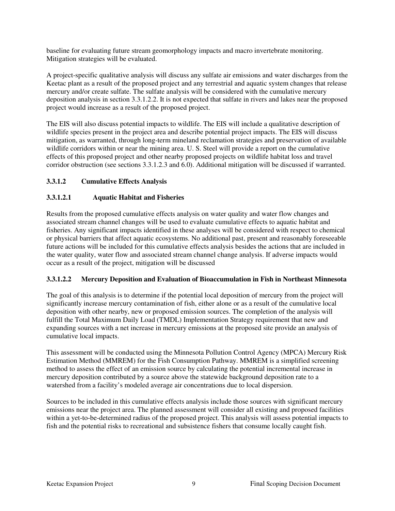baseline for evaluating future stream geomorphology impacts and macro invertebrate monitoring. Mitigation strategies will be evaluated.

A project-specific qualitative analysis will discuss any sulfate air emissions and water discharges from the Keetac plant as a result of the proposed project and any terrestrial and aquatic system changes that release mercury and/or create sulfate. The sulfate analysis will be considered with the cumulative mercury deposition analysis in section 3.3.1.2.2. It is not expected that sulfate in rivers and lakes near the proposed project would increase as a result of the proposed project.

The EIS will also discuss potential impacts to wildlife. The EIS will include a qualitative description of wildlife species present in the project area and describe potential project impacts. The EIS will discuss mitigation, as warranted, through long-term mineland reclamation strategies and preservation of available wildlife corridors within or near the mining area. U. S. Steel will provide a report on the cumulative effects of this proposed project and other nearby proposed projects on wildlife habitat loss and travel corridor obstruction (see sections 3.3.1.2.3 and 6.0). Additional mitigation will be discussed if warranted.

# **3.3.1.2 Cumulative Effects Analysis**

# **3.3.1.2.1 Aquatic Habitat and Fisheries**

Results from the proposed cumulative effects analysis on water quality and water flow changes and associated stream channel changes will be used to evaluate cumulative effects to aquatic habitat and fisheries. Any significant impacts identified in these analyses will be considered with respect to chemical or physical barriers that affect aquatic ecosystems. No additional past, present and reasonably foreseeable future actions will be included for this cumulative effects analysis besides the actions that are included in the water quality, water flow and associated stream channel change analysis. If adverse impacts would occur as a result of the project, mitigation will be discussed

## **3.3.1.2.2 Mercury Deposition and Evaluation of Bioaccumulation in Fish in Northeast Minnesota**

The goal of this analysis is to determine if the potential local deposition of mercury from the project will significantly increase mercury contamination of fish, either alone or as a result of the cumulative local deposition with other nearby, new or proposed emission sources. The completion of the analysis will fulfill the Total Maximum Daily Load (TMDL) Implementation Strategy requirement that new and expanding sources with a net increase in mercury emissions at the proposed site provide an analysis of cumulative local impacts.

This assessment will be conducted using the Minnesota Pollution Control Agency (MPCA) Mercury Risk Estimation Method (MMREM) for the Fish Consumption Pathway. MMREM is a simplified screening method to assess the effect of an emission source by calculating the potential incremental increase in mercury deposition contributed by a source above the statewide background deposition rate to a watershed from a facility's modeled average air concentrations due to local dispersion.

Sources to be included in this cumulative effects analysis include those sources with significant mercury emissions near the project area. The planned assessment will consider all existing and proposed facilities within a yet-to-be-determined radius of the proposed project. This analysis will assess potential impacts to fish and the potential risks to recreational and subsistence fishers that consume locally caught fish.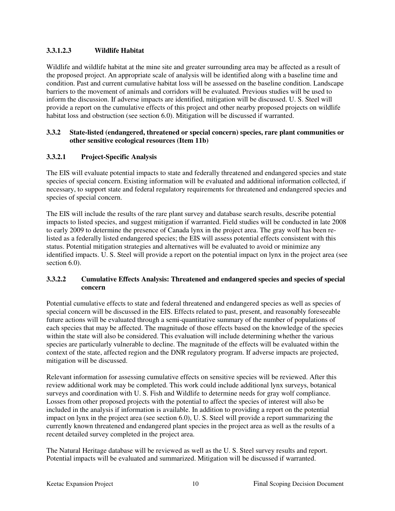## **3.3.1.2.3 Wildlife Habitat**

Wildlife and wildlife habitat at the mine site and greater surrounding area may be affected as a result of the proposed project. An appropriate scale of analysis will be identified along with a baseline time and condition. Past and current cumulative habitat loss will be assessed on the baseline condition. Landscape barriers to the movement of animals and corridors will be evaluated. Previous studies will be used to inform the discussion. If adverse impacts are identified, mitigation will be discussed. U. S. Steel will provide a report on the cumulative effects of this project and other nearby proposed projects on wildlife habitat loss and obstruction (see section 6.0). Mitigation will be discussed if warranted.

### **3.3.2 State-listed (endangered, threatened or special concern) species, rare plant communities or other sensitive ecological resources (Item 11b)**

## **3.3.2.1 Project-Specific Analysis**

The EIS will evaluate potential impacts to state and federally threatened and endangered species and state species of special concern. Existing information will be evaluated and additional information collected, if necessary, to support state and federal regulatory requirements for threatened and endangered species and species of special concern.

The EIS will include the results of the rare plant survey and database search results, describe potential impacts to listed species, and suggest mitigation if warranted. Field studies will be conducted in late 2008 to early 2009 to determine the presence of Canada lynx in the project area. The gray wolf has been relisted as a federally listed endangered species; the EIS will assess potential effects consistent with this status. Potential mitigation strategies and alternatives will be evaluated to avoid or minimize any identified impacts. U. S. Steel will provide a report on the potential impact on lynx in the project area (see section 6.0).

### **3.3.2.2 Cumulative Effects Analysis: Threatened and endangered species and species of special concern**

Potential cumulative effects to state and federal threatened and endangered species as well as species of special concern will be discussed in the EIS. Effects related to past, present, and reasonably foreseeable future actions will be evaluated through a semi-quantitative summary of the number of populations of each species that may be affected. The magnitude of those effects based on the knowledge of the species within the state will also be considered. This evaluation will include determining whether the various species are particularly vulnerable to decline. The magnitude of the effects will be evaluated within the context of the state, affected region and the DNR regulatory program. If adverse impacts are projected, mitigation will be discussed.

Relevant information for assessing cumulative effects on sensitive species will be reviewed. After this review additional work may be completed. This work could include additional lynx surveys, botanical surveys and coordination with U. S. Fish and Wildlife to determine needs for gray wolf compliance. Losses from other proposed projects with the potential to affect the species of interest will also be included in the analysis if information is available. In addition to providing a report on the potential impact on lynx in the project area (see section 6.0), U. S. Steel will provide a report summarizing the currently known threatened and endangered plant species in the project area as well as the results of a recent detailed survey completed in the project area.

The Natural Heritage database will be reviewed as well as the U. S. Steel survey results and report. Potential impacts will be evaluated and summarized. Mitigation will be discussed if warranted.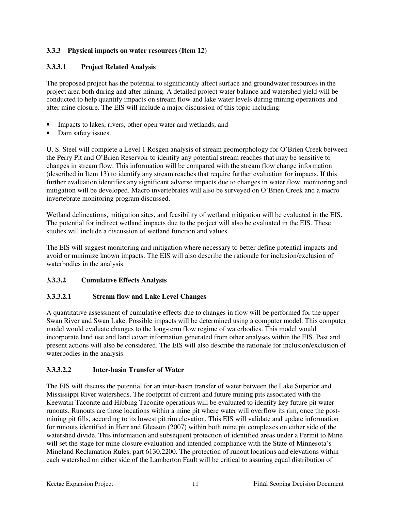## **3.3.3 Physical impacts on water resources (Item 12)**

## **3.3.3.1 Project Related Analysis**

The proposed project has the potential to significantly affect surface and groundwater resources in the project area both during and after mining. A detailed project water balance and watershed yield will be conducted to help quantify impacts on stream flow and lake water levels during mining operations and after mine closure. The EIS will include a major discussion of this topic including:

- Impacts to lakes, rivers, other open water and wetlands; and
- Dam safety issues.

U. S. Steel will complete a Level 1 Rosgen analysis of stream geomorphology for O'Brien Creek between the Perry Pit and O'Brien Reservoir to identify any potential stream reaches that may be sensitive to changes in stream flow. This information will be compared with the stream flow change information (described in Item 13) to identify any stream reaches that require further evaluation for impacts. If this further evaluation identifies any significant adverse impacts due to changes in water flow, monitoring and mitigation will be developed. Macro invertebrates will also be surveyed on O'Brien Creek and a macro invertebrate monitoring program discussed.

Wetland delineations, mitigation sites, and feasibility of wetland mitigation will be evaluated in the EIS. The potential for indirect wetland impacts due to the project will also be evaluated in the EIS. These studies will include a discussion of wetland function and values.

The EIS will suggest monitoring and mitigation where necessary to better define potential impacts and avoid or minimize known impacts. The EIS will also describe the rationale for inclusion/exclusion of waterbodies in the analysis.

# **3.3.3.2 Cumulative Effects Analysis**

## **3.3.3.2.1 Stream flow and Lake Level Changes**

A quantitative assessment of cumulative effects due to changes in flow will be performed for the upper Swan River and Swan Lake. Possible impacts will be determined using a computer model. This computer model would evaluate changes to the long-term flow regime of waterbodies. This model would incorporate land use and land cover information generated from other analyses within the EIS. Past and present actions will also be considered. The EIS will also describe the rationale for inclusion/exclusion of waterbodies in the analysis.

## **3.3.3.2.2 Inter-basin Transfer of Water**

The EIS will discuss the potential for an inter-basin transfer of water between the Lake Superior and Mississippi River watersheds. The footprint of current and future mining pits associated with the Keewatin Taconite and Hibbing Taconite operations will be evaluated to identify key future pit water runouts. Runouts are those locations within a mine pit where water will overflow its rim, once the postmining pit fills, according to its lowest pit rim elevation. This EIS will validate and update information for runouts identified in Herr and Gleason (2007) within both mine pit complexes on either side of the watershed divide. This information and subsequent protection of identified areas under a Permit to Mine will set the stage for mine closure evaluation and intended compliance with the State of Minnesota's Mineland Reclamation Rules, part 6130.2200. The protection of runout locations and elevations within each watershed on either side of the Lamberton Fault will be critical to assuring equal distribution of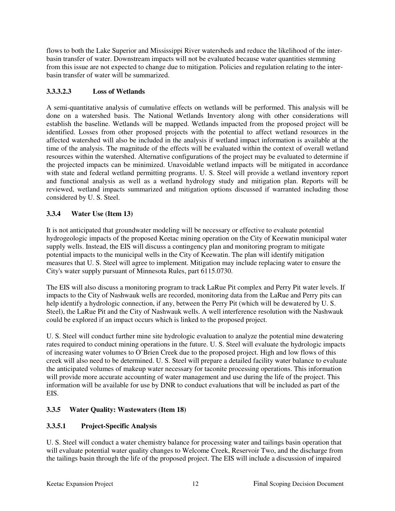flows to both the Lake Superior and Mississippi River watersheds and reduce the likelihood of the interbasin transfer of water. Downstream impacts will not be evaluated because water quantities stemming from this issue are not expected to change due to mitigation. Policies and regulation relating to the interbasin transfer of water will be summarized.

## **3.3.3.2.3 Loss of Wetlands**

A semi-quantitative analysis of cumulative effects on wetlands will be performed. This analysis will be done on a watershed basis. The National Wetlands Inventory along with other considerations will establish the baseline. Wetlands will be mapped. Wetlands impacted from the proposed project will be identified. Losses from other proposed projects with the potential to affect wetland resources in the affected watershed will also be included in the analysis if wetland impact information is available at the time of the analysis. The magnitude of the effects will be evaluated within the context of overall wetland resources within the watershed. Alternative configurations of the project may be evaluated to determine if the projected impacts can be minimized. Unavoidable wetland impacts will be mitigated in accordance with state and federal wetland permitting programs. U. S. Steel will provide a wetland inventory report and functional analysis as well as a wetland hydrology study and mitigation plan. Reports will be reviewed, wetland impacts summarized and mitigation options discussed if warranted including those considered by U. S. Steel.

# **3.3.4 Water Use (Item 13)**

It is not anticipated that groundwater modeling will be necessary or effective to evaluate potential hydrogeologic impacts of the proposed Keetac mining operation on the City of Keewatin municipal water supply wells. Instead, the EIS will discuss a contingency plan and monitoring program to mitigate potential impacts to the municipal wells in the City of Keewatin. The plan will identify mitigation measures that U. S. Steel will agree to implement. Mitigation may include replacing water to ensure the City's water supply pursuant of Minnesota Rules, part 6115.0730.

The EIS will also discuss a monitoring program to track LaRue Pit complex and Perry Pit water levels. If impacts to the City of Nashwauk wells are recorded, monitoring data from the LaRue and Perry pits can help identify a hydrologic connection, if any, between the Perry Pit (which will be dewatered by U. S. Steel), the LaRue Pit and the City of Nashwauk wells. A well interference resolution with the Nashwauk could be explored if an impact occurs which is linked to the proposed project.

U. S. Steel will conduct further mine site hydrologic evaluation to analyze the potential mine dewatering rates required to conduct mining operations in the future. U. S. Steel will evaluate the hydrologic impacts of increasing water volumes to O'Brien Creek due to the proposed project. High and low flows of this creek will also need to be determined. U. S. Steel will prepare a detailed facility water balance to evaluate the anticipated volumes of makeup water necessary for taconite processing operations. This information will provide more accurate accounting of water management and use during the life of the project. This information will be available for use by DNR to conduct evaluations that will be included as part of the EIS.

# **3.3.5 Water Quality: Wastewaters (Item 18)**

# **3.3.5.1 Project-Specific Analysis**

U. S. Steel will conduct a water chemistry balance for processing water and tailings basin operation that will evaluate potential water quality changes to Welcome Creek, Reservoir Two, and the discharge from the tailings basin through the life of the proposed project. The EIS will include a discussion of impaired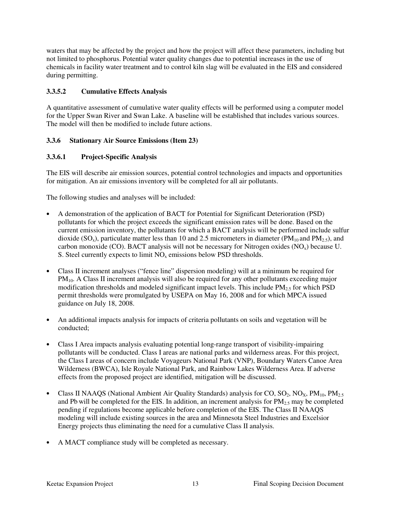waters that may be affected by the project and how the project will affect these parameters, including but not limited to phosphorus. Potential water quality changes due to potential increases in the use of chemicals in facility water treatment and to control kiln slag will be evaluated in the EIS and considered during permitting.

## **3.3.5.2 Cumulative Effects Analysis**

A quantitative assessment of cumulative water quality effects will be performed using a computer model for the Upper Swan River and Swan Lake. A baseline will be established that includes various sources. The model will then be modified to include future actions.

# **3.3.6 Stationary Air Source Emissions (Item 23)**

## **3.3.6.1 Project-Specific Analysis**

The EIS will describe air emission sources, potential control technologies and impacts and opportunities for mitigation. An air emissions inventory will be completed for all air pollutants.

The following studies and analyses will be included:

- A demonstration of the application of BACT for Potential for Significant Deterioration (PSD) pollutants for which the project exceeds the significant emission rates will be done. Based on the current emission inventory, the pollutants for which a BACT analysis will be performed include sulfur dioxide (SO<sub>x</sub>), particulate matter less than 10 and 2.5 micrometers in diameter (PM<sub>10</sub> and PM<sub>2.5</sub>), and carbon monoxide (CO). BACT analysis will not be necessary for Nitrogen oxides  $(NO_x)$  because U. S. Steel currently expects to limit  $NO<sub>x</sub>$  emissions below PSD thresholds.
- Class II increment analyses ("fence line" dispersion modeling) will at a minimum be required for PM<sub>10</sub>. A Class II increment analysis will also be required for any other pollutants exceeding major modification thresholds and modeled significant impact levels. This include  $PM_{2.5}$  for which PSD permit thresholds were promulgated by USEPA on May 16, 2008 and for which MPCA issued guidance on July 18, 2008.
- An additional impacts analysis for impacts of criteria pollutants on soils and vegetation will be conducted;
- Class I Area impacts analysis evaluating potential long-range transport of visibility-impairing pollutants will be conducted. Class I areas are national parks and wilderness areas. For this project, the Class I areas of concern include Voyageurs National Park (VNP), Boundary Waters Canoe Area Wilderness (BWCA), Isle Royale National Park, and Rainbow Lakes Wilderness Area. If adverse effects from the proposed project are identified, mitigation will be discussed.
- Class II NAAQS (National Ambient Air Quality Standards) analysis for CO,  $SO_2$ , NO<sub>X</sub>, PM<sub>10</sub>, PM<sub>2.5</sub> and Pb will be completed for the EIS. In addition, an increment analysis for  $PM_{2.5}$  may be completed pending if regulations become applicable before completion of the EIS. The Class II NAAQS modeling will include existing sources in the area and Minnesota Steel Industries and Excelsior Energy projects thus eliminating the need for a cumulative Class II analysis.
- A MACT compliance study will be completed as necessary.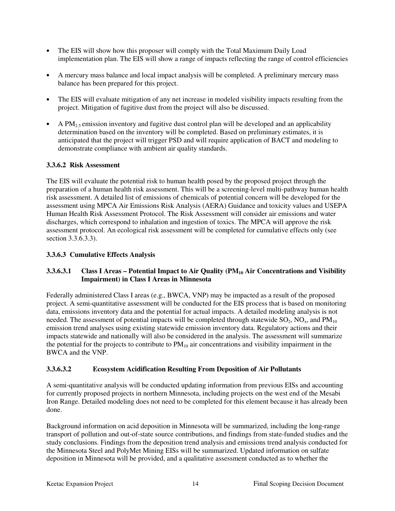- The EIS will show how this proposer will comply with the Total Maximum Daily Load implementation plan. The EIS will show a range of impacts reflecting the range of control efficiencies
- A mercury mass balance and local impact analysis will be completed. A preliminary mercury mass balance has been prepared for this project.
- The EIS will evaluate mitigation of any net increase in modeled visibility impacts resulting from the project. Mitigation of fugitive dust from the project will also be discussed.
- A  $PM<sub>25</sub>$  emission inventory and fugitive dust control plan will be developed and an applicability determination based on the inventory will be completed. Based on preliminary estimates, it is anticipated that the project will trigger PSD and will require application of BACT and modeling to demonstrate compliance with ambient air quality standards.

## **3.3.6.2 Risk Assessment**

The EIS will evaluate the potential risk to human health posed by the proposed project through the preparation of a human health risk assessment. This will be a screening-level multi-pathway human health risk assessment. A detailed list of emissions of chemicals of potential concern will be developed for the assessment using MPCA Air Emissions Risk Analysis (AERA) Guidance and toxicity values and USEPA Human Health Risk Assessment Protocol. The Risk Assessment will consider air emissions and water discharges, which correspond to inhalation and ingestion of toxics. The MPCA will approve the risk assessment protocol. An ecological risk assessment will be completed for cumulative effects only (see section 3.3.6.3.3).

#### **3.3.6.3 Cumulative Effects Analysis**

## **3.3.6.3.1 Class I Areas – Potential Impact to Air Quality (PM10 Air Concentrations and Visibility Impairment) in Class I Areas in Minnesota**

Federally administered Class I areas (e.g., BWCA, VNP) may be impacted as a result of the proposed project. A semi-quantitative assessment will be conducted for the EIS process that is based on monitoring data, emissions inventory data and the potential for actual impacts. A detailed modeling analysis is not needed. The assessment of potential impacts will be completed through statewide  $SO_2$ ,  $NO_x$ , and  $PM_{10}$ emission trend analyses using existing statewide emission inventory data. Regulatory actions and their impacts statewide and nationally will also be considered in the analysis. The assessment will summarize the potential for the projects to contribute to  $PM_{10}$  air concentrations and visibility impairment in the BWCA and the VNP.

## **3.3.6.3.2 Ecosystem Acidification Resulting From Deposition of Air Pollutants**

A semi-quantitative analysis will be conducted updating information from previous EISs and accounting for currently proposed projects in northern Minnesota, including projects on the west end of the Mesabi Iron Range. Detailed modeling does not need to be completed for this element because it has already been done.

Background information on acid deposition in Minnesota will be summarized, including the long-range transport of pollution and out-of-state source contributions, and findings from state-funded studies and the study conclusions. Findings from the deposition trend analysis and emissions trend analysis conducted for the Minnesota Steel and PolyMet Mining EISs will be summarized. Updated information on sulfate deposition in Minnesota will be provided, and a qualitative assessment conducted as to whether the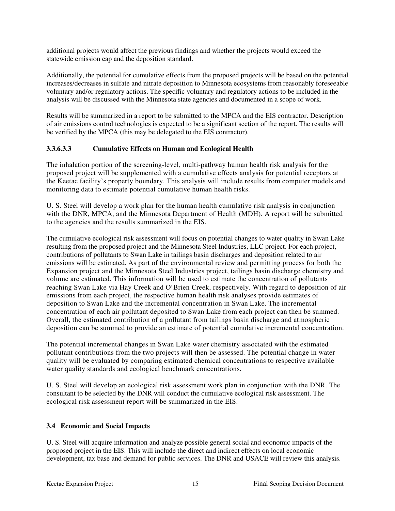additional projects would affect the previous findings and whether the projects would exceed the statewide emission cap and the deposition standard.

Additionally, the potential for cumulative effects from the proposed projects will be based on the potential increases/decreases in sulfate and nitrate deposition to Minnesota ecosystems from reasonably foreseeable voluntary and/or regulatory actions. The specific voluntary and regulatory actions to be included in the analysis will be discussed with the Minnesota state agencies and documented in a scope of work.

Results will be summarized in a report to be submitted to the MPCA and the EIS contractor. Description of air emissions control technologies is expected to be a significant section of the report. The results will be verified by the MPCA (this may be delegated to the EIS contractor).

# **3.3.6.3.3 Cumulative Effects on Human and Ecological Health**

The inhalation portion of the screening-level, multi-pathway human health risk analysis for the proposed project will be supplemented with a cumulative effects analysis for potential receptors at the Keetac facility's property boundary. This analysis will include results from computer models and monitoring data to estimate potential cumulative human health risks.

U. S. Steel will develop a work plan for the human health cumulative risk analysis in conjunction with the DNR, MPCA, and the Minnesota Department of Health (MDH). A report will be submitted to the agencies and the results summarized in the EIS.

The cumulative ecological risk assessment will focus on potential changes to water quality in Swan Lake resulting from the proposed project and the Minnesota Steel Industries, LLC project. For each project, contributions of pollutants to Swan Lake in tailings basin discharges and deposition related to air emissions will be estimated. As part of the environmental review and permitting process for both the Expansion project and the Minnesota Steel Industries project, tailings basin discharge chemistry and volume are estimated. This information will be used to estimate the concentration of pollutants reaching Swan Lake via Hay Creek and O'Brien Creek, respectively. With regard to deposition of air emissions from each project, the respective human health risk analyses provide estimates of deposition to Swan Lake and the incremental concentration in Swan Lake. The incremental concentration of each air pollutant deposited to Swan Lake from each project can then be summed. Overall, the estimated contribution of a pollutant from tailings basin discharge and atmospheric deposition can be summed to provide an estimate of potential cumulative incremental concentration.

The potential incremental changes in Swan Lake water chemistry associated with the estimated pollutant contributions from the two projects will then be assessed. The potential change in water quality will be evaluated by comparing estimated chemical concentrations to respective available water quality standards and ecological benchmark concentrations.

U. S. Steel will develop an ecological risk assessment work plan in conjunction with the DNR. The consultant to be selected by the DNR will conduct the cumulative ecological risk assessment. The ecological risk assessment report will be summarized in the EIS.

# **3.4 Economic and Social Impacts**

U. S. Steel will acquire information and analyze possible general social and economic impacts of the proposed project in the EIS. This will include the direct and indirect effects on local economic development, tax base and demand for public services. The DNR and USACE will review this analysis.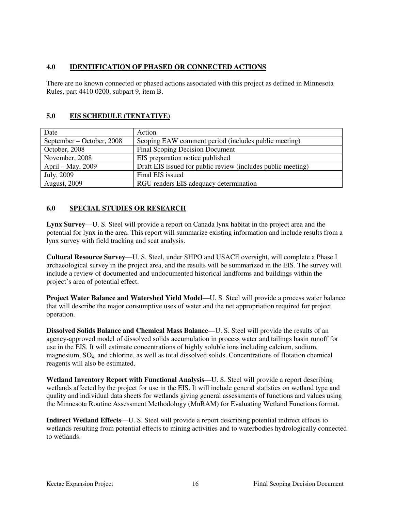## **4.0 IDENTIFICATION OF PHASED OR CONNECTED ACTIONS**

There are no known connected or phased actions associated with this project as defined in Minnesota Rules, part 4410.0200, subpart 9, item B.

# **5.0 EIS SCHEDULE (TENTATIVE)**

| Date                      | Action                                                       |
|---------------------------|--------------------------------------------------------------|
| September – October, 2008 | Scoping EAW comment period (includes public meeting)         |
| October, 2008             | <b>Final Scoping Decision Document</b>                       |
| November, 2008            | EIS preparation notice published                             |
| April – May, 2009         | Draft EIS issued for public review (includes public meeting) |
| July, 2009                | Final EIS issued                                             |
| <b>August, 2009</b>       | RGU renders EIS adequacy determination                       |

# **6.0 SPECIAL STUDIES OR RESEARCH**

**Lynx Survey**—U. S. Steel will provide a report on Canada lynx habitat in the project area and the potential for lynx in the area. This report will summarize existing information and include results from a lynx survey with field tracking and scat analysis.

**Cultural Resource Survey**—U. S. Steel, under SHPO and USACE oversight, will complete a Phase I archaeological survey in the project area, and the results will be summarized in the EIS. The survey will include a review of documented and undocumented historical landforms and buildings within the project's area of potential effect.

**Project Water Balance and Watershed Yield Model**—U. S. Steel will provide a process water balance that will describe the major consumptive uses of water and the net appropriation required for project operation.

**Dissolved Solids Balance and Chemical Mass Balance**—U. S. Steel will provide the results of an agency-approved model of dissolved solids accumulation in process water and tailings basin runoff for use in the EIS. It will estimate concentrations of highly soluble ions including calcium, sodium, magnesium, SO4, and chlorine, as well as total dissolved solids. Concentrations of flotation chemical reagents will also be estimated.

**Wetland Inventory Report with Functional Analysis**—U. S. Steel will provide a report describing wetlands affected by the project for use in the EIS. It will include general statistics on wetland type and quality and individual data sheets for wetlands giving general assessments of functions and values using the Minnesota Routine Assessment Methodology (MnRAM) for Evaluating Wetland Functions format.

**Indirect Wetland Effects**—U. S. Steel will provide a report describing potential indirect effects to wetlands resulting from potential effects to mining activities and to waterbodies hydrologically connected to wetlands.